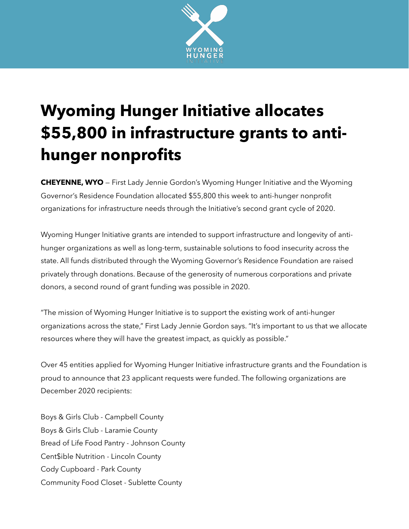

## **Wyoming Hunger Initiative allocates \$55,800 in infrastructure grants to antihunger nonprofits**

**CHEYENNE, WYO** — First Lady Jennie Gordon's Wyoming Hunger Initiative and the Wyoming Governor's Residence Foundation allocated \$55,800 this week to anti-hunger nonprofit organizations for infrastructure needs through the Initiative's second grant cycle of 2020.

Wyoming Hunger Initiative grants are intended to support infrastructure and longevity of antihunger organizations as well as long-term, sustainable solutions to food insecurity across the state. All funds distributed through the Wyoming Governor's Residence Foundation are raised privately through donations. Because of the generosity of numerous corporations and private donors, a second round of grant funding was possible in 2020.

"The mission of Wyoming Hunger Initiative is to support the existing work of anti-hunger organizations across the state," First Lady Jennie Gordon says. "It's important to us that we allocate resources where they will have the greatest impact, as quickly as possible."

Over 45 entities applied for Wyoming Hunger Initiative infrastructure grants and the Foundation is proud to announce that 23 applicant requests were funded. The following organizations are December 2020 recipients:

Boys & Girls Club - Campbell County Boys & Girls Club - Laramie County Bread of Life Food Pantry - Johnson County Cent\$ible Nutrition - Lincoln County Cody Cupboard - Park County Community Food Closet - Sublette County